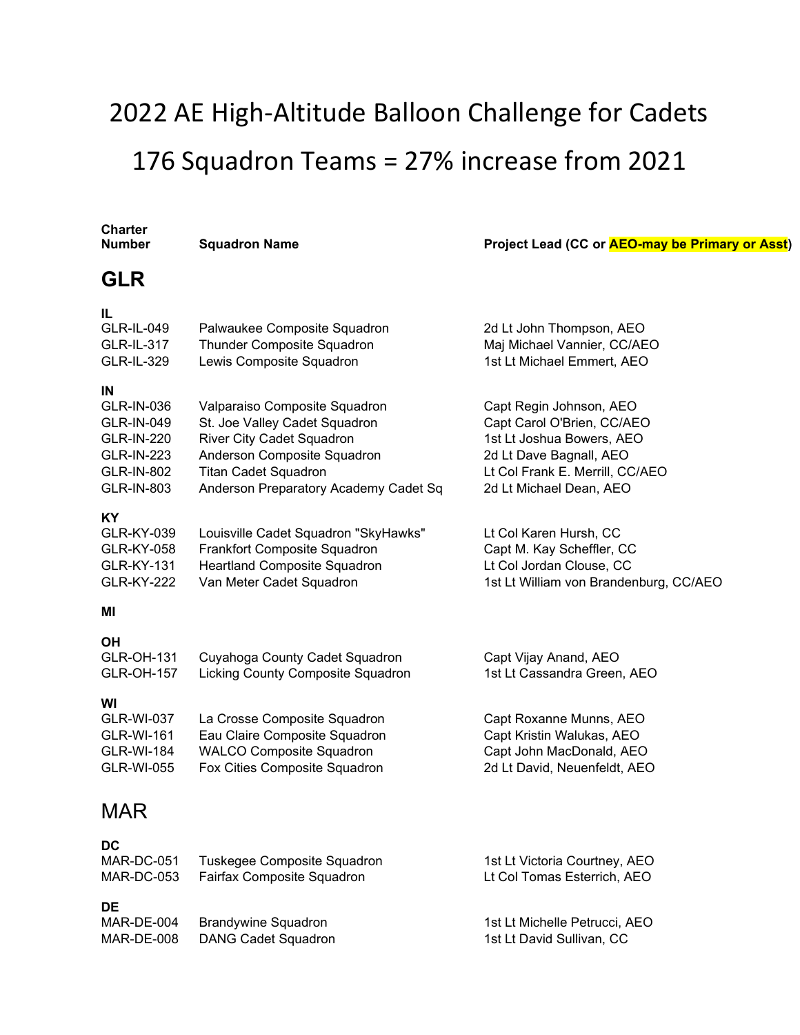# 2022 AE High-Altitude Balloon Challenge for Cadets 176 Squadron Teams = 27% increase from 2021

## **Charter**

#### **Number 1 Audit Conserversity Conserversity Project Lead (CC or AEO-may be Primary or Asst)**

### **GLR**

**IL**

| Palwaukee Composite Squadron          | 2d Lt John Thompson, AEO        |
|---------------------------------------|---------------------------------|
| Thunder Composite Squadron            | Maj Michael Vannier, CC/AEO     |
| Lewis Composite Squadron              | 1st Lt Michael Emmert, AEO      |
|                                       |                                 |
| Valparaiso Composite Squadron         | Capt Regin Johnson, AEO         |
| St. Joe Valley Cadet Squadron         | Capt Carol O'Brien, CC/AEO      |
| <b>River City Cadet Squadron</b>      | 1st Lt Joshua Bowers, AEO       |
| Anderson Composite Squadron           | 2d Lt Dave Bagnall, AEO         |
| <b>Titan Cadet Squadron</b>           | Lt Col Frank E. Merrill, CC/AEO |
| Anderson Preparatory Academy Cadet Sq | 2d Lt Michael Dean, AEO         |
|                                       |                                 |
|                                       |                                 |

| GLR-KY-039        | Louisville Cadet Squadron "SkyHawks" | Lt Col Karen Hursh, CC                 |
|-------------------|--------------------------------------|----------------------------------------|
| GLR-KY-058        | Frankfort Composite Squadron         | Capt M. Kay Scheffler, CC              |
| GLR-KY-131        | Heartland Composite Squadron         | Lt Col Jordan Clouse, CC               |
| <b>GLR-KY-222</b> | Van Meter Cadet Squadron             | 1st Lt William von Brandenburg, CC/AEO |

#### **MI**

| <b>OH</b><br><b>GLR-OH-131</b><br><b>GLR-OH-157</b> | Cuyahoga County Cadet Squadron<br>Licking County Composite Squadron | Capt Vijay Anand, AEO<br>1st Lt Cassandra Green, AEO |
|-----------------------------------------------------|---------------------------------------------------------------------|------------------------------------------------------|
| WI                                                  |                                                                     |                                                      |
| <b>GLR-WI-037</b>                                   | La Crosse Composite Squadron                                        | Capt Roxanne Munns, AEO                              |
| <b>GLR-WI-161</b>                                   | Eau Claire Composite Squadron                                       | Capt Kristin Walukas, AEO                            |
| <b>GLR-WI-184</b>                                   | <b>WALCO Composite Squadron</b>                                     | Capt John MacDonald, AEO                             |
| <b>GLR-WI-055</b>                                   | Fox Cities Composite Squadron                                       | 2d Lt David, Neuenfeldt, AEO                         |

### MAR

| v<br>. .<br>۰.<br>٦<br>٩<br>٠<br>× |
|------------------------------------|
|------------------------------------|

| MAR-DC-051 | Tuskegee Composite Squadron | 1st Lt Victoria Courtney, AEO |
|------------|-----------------------------|-------------------------------|
| MAR-DC-053 | Fairfax Composite Squadron  | Lt Col Tomas Esterrich, AEO   |
| DE         |                             |                               |
| MAR-DE-004 | <b>Brandywine Squadron</b>  | 1st Lt Michelle Petrucci. AEO |
| MAR-DE-008 | <b>DANG Cadet Squadron</b>  | 1st Lt David Sullivan, CC     |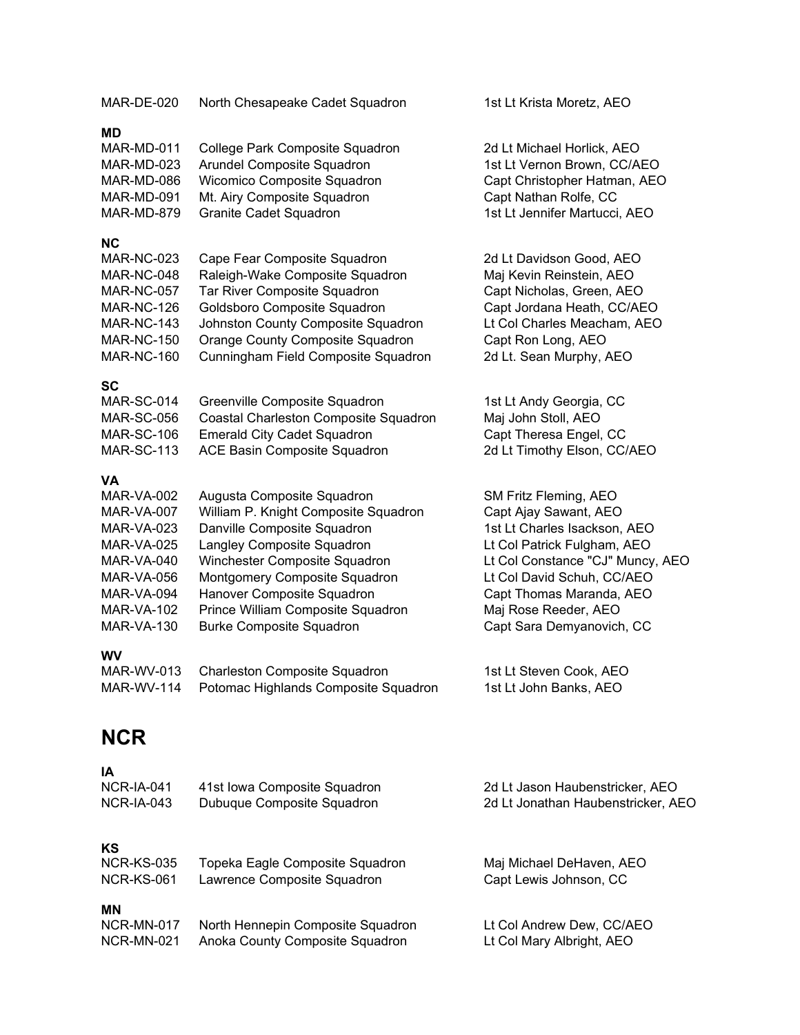| MAR-DE-020                                                                                                                                                                       | North Chesapeake Cadet Squadron                                                                                                                                                                                                                                                                         | 1st Lt Krista Moretz, AEO                                                                                                                                                                                                                                        |
|----------------------------------------------------------------------------------------------------------------------------------------------------------------------------------|---------------------------------------------------------------------------------------------------------------------------------------------------------------------------------------------------------------------------------------------------------------------------------------------------------|------------------------------------------------------------------------------------------------------------------------------------------------------------------------------------------------------------------------------------------------------------------|
| <b>MD</b><br>MAR-MD-011<br>MAR-MD-023<br>MAR-MD-086<br>MAR-MD-091<br>MAR-MD-879                                                                                                  | College Park Composite Squadron<br>Arundel Composite Squadron<br>Wicomico Composite Squadron<br>Mt. Airy Composite Squadron<br><b>Granite Cadet Squadron</b>                                                                                                                                            | 2d Lt Michael Horlick, AEO<br>1st Lt Vernon Brown, CC/AEO<br>Capt Christopher Hatman, AEO<br>Capt Nathan Rolfe, CC<br>1st Lt Jennifer Martucci, AEO                                                                                                              |
| NС<br><b>MAR-NC-023</b><br><b>MAR-NC-048</b><br><b>MAR-NC-057</b><br><b>MAR-NC-126</b><br><b>MAR-NC-143</b><br><b>MAR-NC-150</b><br><b>MAR-NC-160</b>                            | Cape Fear Composite Squadron<br>Raleigh-Wake Composite Squadron<br>Tar River Composite Squadron<br>Goldsboro Composite Squadron<br>Johnston County Composite Squadron<br>Orange County Composite Squadron<br>Cunningham Field Composite Squadron                                                        | 2d Lt Davidson Good, AEO<br>Maj Kevin Reinstein, AEO<br>Capt Nicholas, Green, AEO<br>Capt Jordana Heath, CC/AEO<br>Lt Col Charles Meacham, AEO<br>Capt Ron Long, AEO<br>2d Lt. Sean Murphy, AEO                                                                  |
| SC<br>MAR-SC-014<br><b>MAR-SC-056</b><br><b>MAR-SC-106</b><br><b>MAR-SC-113</b>                                                                                                  | Greenville Composite Squadron<br>Coastal Charleston Composite Squadron<br><b>Emerald City Cadet Squadron</b><br>ACE Basin Composite Squadron                                                                                                                                                            | 1st Lt Andy Georgia, CC<br>Maj John Stoll, AEO<br>Capt Theresa Engel, CC<br>2d Lt Timothy Elson, CC/AEO                                                                                                                                                          |
| VA<br><b>MAR-VA-002</b><br><b>MAR-VA-007</b><br>MAR-VA-023<br><b>MAR-VA-025</b><br>MAR-VA-040<br><b>MAR-VA-056</b><br>MAR-VA-094<br>MAR-VA-102<br><b>MAR-VA-130</b><br><b>WV</b> | Augusta Composite Squadron<br>William P. Knight Composite Squadron<br>Danville Composite Squadron<br>Langley Composite Squadron<br>Winchester Composite Squadron<br>Montgomery Composite Squadron<br>Hanover Composite Squadron<br>Prince William Composite Squadron<br><b>Burke Composite Squadron</b> | SM Fritz Fleming, AEO<br>Capt Ajay Sawant, AEO<br>1st Lt Charles Isackson, AEO<br>Lt Col Patrick Fulgham, AEO<br>Lt Col Constance "CJ" Muncy, AEO<br>Lt Col David Schuh, CC/AEO<br>Capt Thomas Maranda, AEO<br>Maj Rose Reeder, AEO<br>Capt Sara Demyanovich, CC |
| MAR-WV-013<br>MAR-WV-114                                                                                                                                                         | <b>Charleston Composite Squadron</b><br>Potomac Highlands Composite Squadron                                                                                                                                                                                                                            | 1st Lt Steven Cook, AEO<br>1st Lt John Banks, AEO                                                                                                                                                                                                                |
| <b>NCR</b>                                                                                                                                                                       |                                                                                                                                                                                                                                                                                                         |                                                                                                                                                                                                                                                                  |

| NCR-IA-041        | 41st Iowa Composite Squadron      | 2d Lt Jason Haubenstricker, AEO    |
|-------------------|-----------------------------------|------------------------------------|
| $NCR$ -IA-043     | Dubuque Composite Squadron        | 2d Lt Jonathan Haubenstricker, AEO |
| KS                |                                   |                                    |
| <b>NCR-KS-035</b> | Topeka Eagle Composite Squadron   | Maj Michael DeHaven, AEO           |
| NCR-KS-061        | Lawrence Composite Squadron       | Capt Lewis Johnson, CC             |
| MN                |                                   |                                    |
| NCR-MN-017        | North Hennepin Composite Squadron | Lt Col Andrew Dew, CC/AEO          |
| <b>NCR-MN-021</b> | Anoka County Composite Squadron   | Lt Col Mary Albright, AEO          |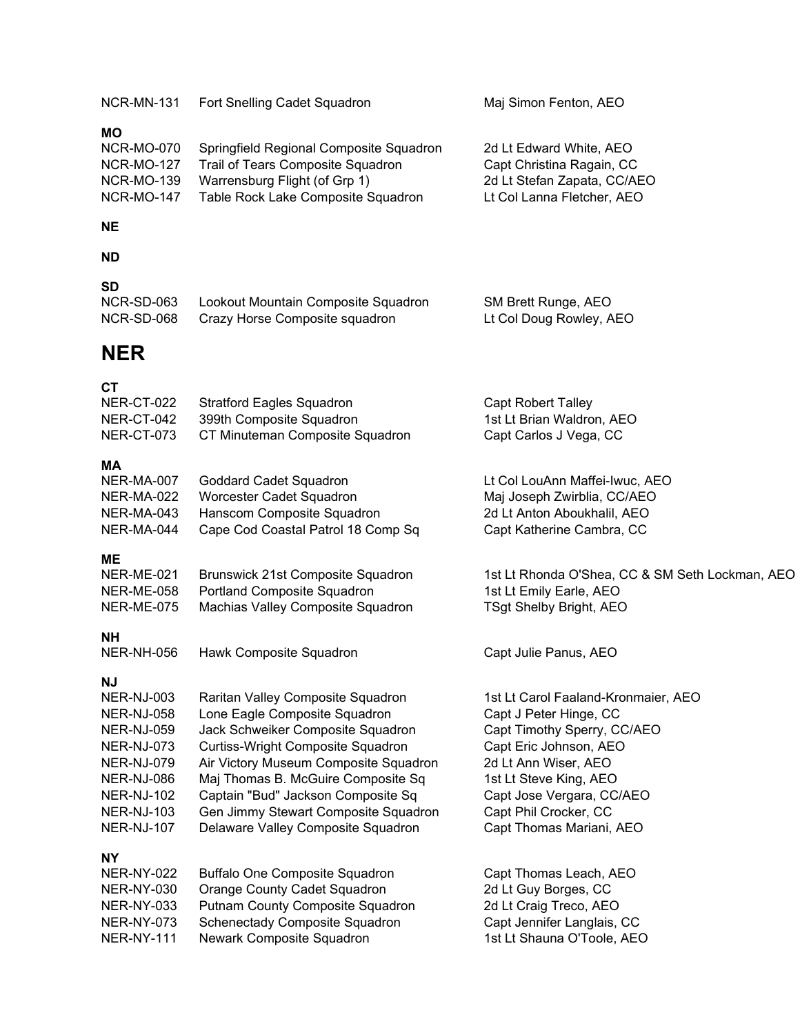| NCR-MN-131                                                                                                                                                          | Fort Snelling Cadet Squadron                                                                                                                                                                                                                                                                                                                    | Maj Simon Fenton, AEO                                                                                                                                                                                                                                      |
|---------------------------------------------------------------------------------------------------------------------------------------------------------------------|-------------------------------------------------------------------------------------------------------------------------------------------------------------------------------------------------------------------------------------------------------------------------------------------------------------------------------------------------|------------------------------------------------------------------------------------------------------------------------------------------------------------------------------------------------------------------------------------------------------------|
| <b>MO</b><br><b>NCR-MO-070</b><br><b>NCR-MO-127</b><br><b>NCR-MO-139</b><br><b>NCR-MO-147</b>                                                                       | Springfield Regional Composite Squadron<br>Trail of Tears Composite Squadron<br>Warrensburg Flight (of Grp 1)<br>Table Rock Lake Composite Squadron                                                                                                                                                                                             | 2d Lt Edward White, AEO<br>Capt Christina Ragain, CC<br>2d Lt Stefan Zapata, CC/AEO<br>Lt Col Lanna Fletcher, AEO                                                                                                                                          |
| <b>NE</b>                                                                                                                                                           |                                                                                                                                                                                                                                                                                                                                                 |                                                                                                                                                                                                                                                            |
| <b>ND</b>                                                                                                                                                           |                                                                                                                                                                                                                                                                                                                                                 |                                                                                                                                                                                                                                                            |
| <b>SD</b><br>NCR-SD-063<br>NCR-SD-068                                                                                                                               | Lookout Mountain Composite Squadron<br>Crazy Horse Composite squadron                                                                                                                                                                                                                                                                           | SM Brett Runge, AEO<br>Lt Col Doug Rowley, AEO                                                                                                                                                                                                             |
| <b>NER</b>                                                                                                                                                          |                                                                                                                                                                                                                                                                                                                                                 |                                                                                                                                                                                                                                                            |
| СT<br>NER-CT-022<br>NER-CT-042<br>NER-CT-073                                                                                                                        | <b>Stratford Eagles Squadron</b><br>399th Composite Squadron<br>CT Minuteman Composite Squadron                                                                                                                                                                                                                                                 | <b>Capt Robert Talley</b><br>1st Lt Brian Waldron, AEO<br>Capt Carlos J Vega, CC                                                                                                                                                                           |
| ΜA<br>NER-MA-007<br><b>NER-MA-022</b><br>NER-MA-043<br>NER-MA-044                                                                                                   | Goddard Cadet Squadron<br>Worcester Cadet Squadron<br>Hanscom Composite Squadron<br>Cape Cod Coastal Patrol 18 Comp Sq                                                                                                                                                                                                                          | Lt Col LouAnn Maffei-Iwuc, AEO<br>Maj Joseph Zwirblia, CC/AEO<br>2d Lt Anton Aboukhalil, AEO<br>Capt Katherine Cambra, CC                                                                                                                                  |
| ME<br>NER-ME-021<br>NER-ME-058<br><b>NER-ME-075</b>                                                                                                                 | Brunswick 21st Composite Squadron<br>Portland Composite Squadron<br>Machias Valley Composite Squadron                                                                                                                                                                                                                                           | 1st Lt Rhonda O'Shea, CC & SM Seth Lockman, AEO<br>1st Lt Emily Earle, AEO<br>TSgt Shelby Bright, AEO                                                                                                                                                      |
| <b>NH</b><br><b>NER-NH-056</b>                                                                                                                                      | Hawk Composite Squadron                                                                                                                                                                                                                                                                                                                         | Capt Julie Panus, AEO                                                                                                                                                                                                                                      |
| <b>NJ</b><br>NER-NJ-003<br>NER-NJ-058<br>NER-NJ-059<br><b>NER-NJ-073</b><br>NER-NJ-079<br>NER-NJ-086<br><b>NER-NJ-102</b><br><b>NER-NJ-103</b><br><b>NER-NJ-107</b> | Raritan Valley Composite Squadron<br>Lone Eagle Composite Squadron<br>Jack Schweiker Composite Squadron<br>Curtiss-Wright Composite Squadron<br>Air Victory Museum Composite Squadron<br>Maj Thomas B. McGuire Composite Sq<br>Captain "Bud" Jackson Composite Sq<br>Gen Jimmy Stewart Composite Squadron<br>Delaware Valley Composite Squadron | 1st Lt Carol Faaland-Kronmaier, AEO<br>Capt J Peter Hinge, CC<br>Capt Timothy Sperry, CC/AEO<br>Capt Eric Johnson, AEO<br>2d Lt Ann Wiser, AEO<br>1st Lt Steve King, AEO<br>Capt Jose Vergara, CC/AEO<br>Capt Phil Crocker, CC<br>Capt Thomas Mariani, AEO |
| <b>NY</b><br><b>NER-NY-022</b><br>NER-NY-030<br>NER-NY-033<br><b>NER-NY-073</b><br><b>NER-NY-111</b>                                                                | <b>Buffalo One Composite Squadron</b><br>Orange County Cadet Squadron<br>Putnam County Composite Squadron<br>Schenectady Composite Squadron<br>Newark Composite Squadron                                                                                                                                                                        | Capt Thomas Leach, AEO<br>2d Lt Guy Borges, CC<br>2d Lt Craig Treco, AEO<br>Capt Jennifer Langlais, CC<br>1st Lt Shauna O'Toole, AEO                                                                                                                       |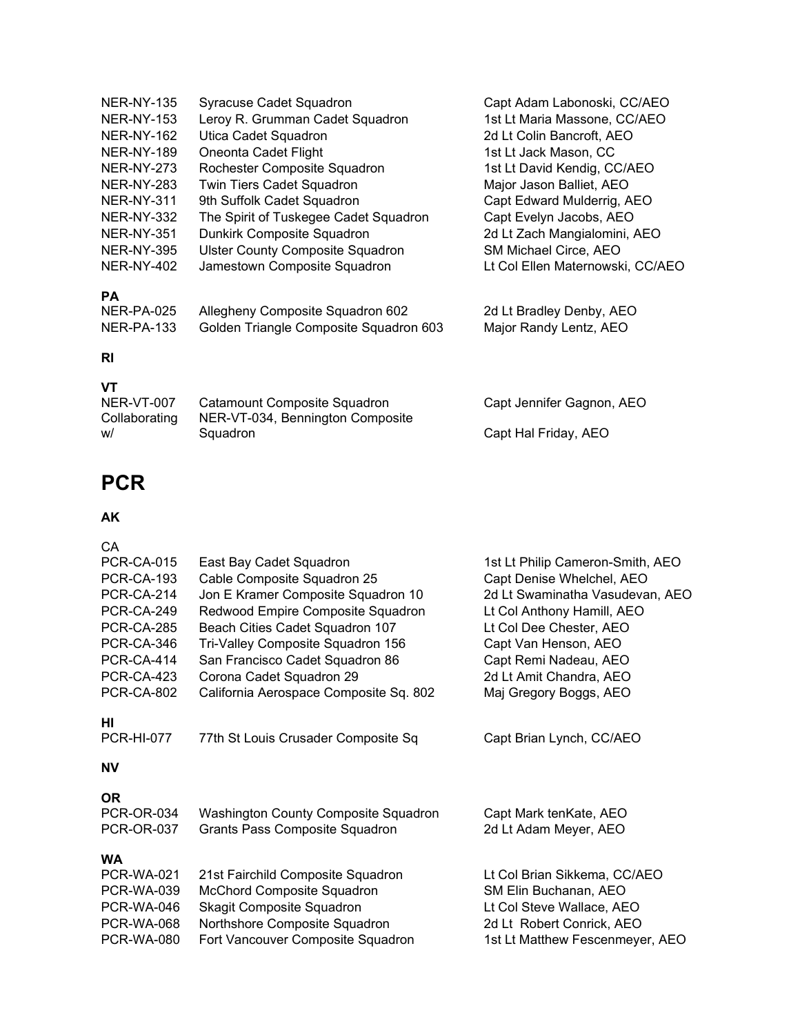| <b>Syracuse Cadet Squadron</b>          | Capt Adam Labonoski, CC/AEO      |
|-----------------------------------------|----------------------------------|
| Leroy R. Grumman Cadet Squadron         | 1st Lt Maria Massone, CC/AEO     |
| Utica Cadet Squadron                    | 2d Lt Colin Bancroft, AEO        |
| Oneonta Cadet Flight                    | 1st Lt Jack Mason, CC            |
| Rochester Composite Squadron            | 1st Lt David Kendig, CC/AEO      |
| <b>Twin Tiers Cadet Squadron</b>        | Major Jason Balliet, AEO         |
| 9th Suffolk Cadet Squadron              | Capt Edward Mulderrig, AEO       |
| The Spirit of Tuskegee Cadet Squadron   | Capt Evelyn Jacobs, AEO          |
| Dunkirk Composite Squadron              | 2d Lt Zach Mangialomini, AEO     |
| <b>Ulster County Composite Squadron</b> | SM Michael Circe, AEO            |
| Jamestown Composite Squadron            | Lt Col Ellen Maternowski, CC/AEO |
|                                         |                                  |
| Allegheny Composite Squadron 602        | 2d Lt Bradley Denby, AEO         |
| Golden Triangle Composite Squadron 603  | Major Randy Lentz, AEO           |
|                                         |                                  |

### **RI**

### **VT**

| NER-VT-007    | Catamount Composite Squadron     | Capt Jennifer Gagnon, AEO |
|---------------|----------------------------------|---------------------------|
| Collaborating | NER-VT-034, Bennington Composite |                           |
| w/            | Squadron                         | Capt Hal Friday, AEO      |

### **PCR**

# **AK**

| CA.<br><b>PCR-CA-015</b><br><b>PCR-CA-193</b><br><b>PCR-CA-214</b><br>PCR-CA-249<br><b>PCR-CA-285</b><br>PCR-CA-346<br>PCR-CA-414<br><b>PCR-CA-423</b><br>PCR-CA-802 | East Bay Cadet Squadron<br>Cable Composite Squadron 25<br>Jon E Kramer Composite Squadron 10<br>Redwood Empire Composite Squadron<br>Beach Cities Cadet Squadron 107<br>Tri-Valley Composite Squadron 156<br>San Francisco Cadet Squadron 86<br>Corona Cadet Squadron 29<br>California Aerospace Composite Sq. 802 | 1st Lt Philip Cameron-Smith, AEO<br>Capt Denise Whelchel, AEO<br>2d Lt Swaminatha Vasudevan, AEO<br>Lt Col Anthony Hamill, AEO<br>Lt Col Dee Chester, AEO<br>Capt Van Henson, AEO<br>Capt Remi Nadeau, AEO<br>2d Lt Amit Chandra, AEO<br>Maj Gregory Boggs, AEO |
|----------------------------------------------------------------------------------------------------------------------------------------------------------------------|--------------------------------------------------------------------------------------------------------------------------------------------------------------------------------------------------------------------------------------------------------------------------------------------------------------------|-----------------------------------------------------------------------------------------------------------------------------------------------------------------------------------------------------------------------------------------------------------------|
| нı<br><b>PCR-HI-077</b>                                                                                                                                              | 77th St Louis Crusader Composite Sq                                                                                                                                                                                                                                                                                | Capt Brian Lynch, CC/AEO                                                                                                                                                                                                                                        |
| <b>NV</b>                                                                                                                                                            |                                                                                                                                                                                                                                                                                                                    |                                                                                                                                                                                                                                                                 |
| <b>OR</b><br><b>PCR-OR-034</b><br><b>PCR-OR-037</b>                                                                                                                  | Washington County Composite Squadron<br>Grants Pass Composite Squadron                                                                                                                                                                                                                                             | Capt Mark tenKate, AEO<br>2d Lt Adam Meyer, AEO                                                                                                                                                                                                                 |
| <b>WA</b><br><b>PCR-WA-021</b><br><b>PCR-WA-039</b><br>PCR-WA-046<br><b>PCR-WA-068</b><br><b>PCR-WA-080</b>                                                          | 21st Fairchild Composite Squadron<br>McChord Composite Squadron<br><b>Skagit Composite Squadron</b><br>Northshore Composite Squadron<br>Fort Vancouver Composite Squadron                                                                                                                                          | Lt Col Brian Sikkema, CC/AEO<br>SM Elin Buchanan, AEO<br>Lt Col Steve Wallace, AEO<br>2d Lt Robert Conrick, AEO<br>1st Lt Matthew Fescenmeyer, AEO                                                                                                              |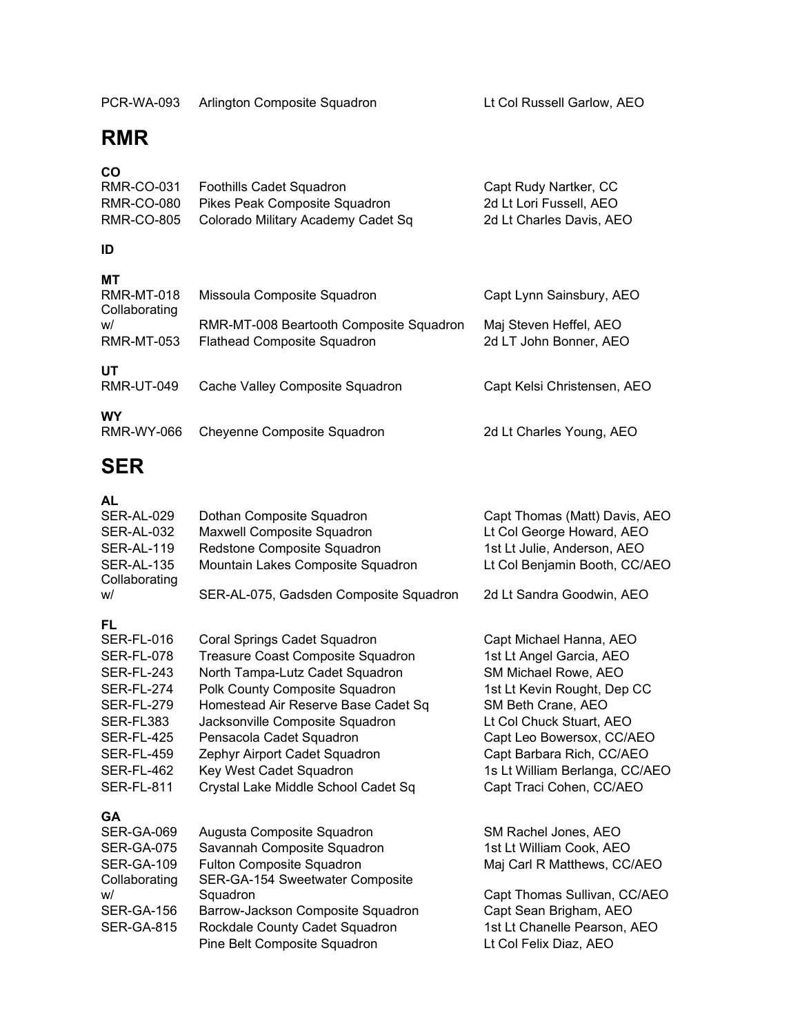### **RMR**

### **CO**

|            | RMR-CO-031 Foothills Cadet Squadron           | Capt Rudy Nartker, CC    |
|------------|-----------------------------------------------|--------------------------|
| RMR-CO-080 | Pikes Peak Composite Squadron                 | 2d Lt Lori Fussell. AEO  |
|            | RMR-CO-805 Colorado Military Academy Cadet Sq | 2d Lt Charles Davis, AEO |

#### **ID**

#### **MT**

| <b>RMR-MT-018</b><br>Collaborating | Missoula Composite Squadron                                                   | Capt Lynn Sainsbury, AEO                         |
|------------------------------------|-------------------------------------------------------------------------------|--------------------------------------------------|
| w/<br><b>RMR-MT-053</b>            | RMR-MT-008 Beartooth Composite Squadron<br><b>Flathead Composite Squadron</b> | Maj Steven Heffel, AEO<br>2d LT John Bonner, AEO |
| UT<br><b>RMR-UT-049</b>            | Cache Valley Composite Squadron                                               | Capt Kelsi Christensen, AEO                      |
| <b>WY</b><br><b>RMR-WY-066</b>     | Cheyenne Composite Squadron                                                   | 2d Lt Charles Young, AEO                         |

### **SER**

### **AL**

| SER-AL-029<br><b>SER-AL-032</b><br>SER-AL-119<br><b>SER-AL-135</b><br>Collaborating<br>w/                                                                          | Dothan Composite Squadron<br>Maxwell Composite Squadron<br>Redstone Composite Squadron<br>Mountain Lakes Composite Squadron<br>SER-AL-075, Gadsden Composite Squadron                                                                                                                                                                           | Capt Thomas (Matt) Davis, AEO<br>Lt Col George Howard, AEO<br>1st Lt Julie, Anderson, AEO<br>Lt Col Benjamin Booth, CC/AEO<br>2d Lt Sandra Goodwin, AEO                                                                                                                              |
|--------------------------------------------------------------------------------------------------------------------------------------------------------------------|-------------------------------------------------------------------------------------------------------------------------------------------------------------------------------------------------------------------------------------------------------------------------------------------------------------------------------------------------|--------------------------------------------------------------------------------------------------------------------------------------------------------------------------------------------------------------------------------------------------------------------------------------|
| FL<br><b>SER-FL-016</b><br>SER-FL-078<br><b>SER-FL-243</b><br>SER-FL-274<br>SER-FL-279<br>SER-FL383<br><b>SER-FL-425</b><br>SER-FL-459<br>SER-FL-462<br>SER-FL-811 | Coral Springs Cadet Squadron<br>Treasure Coast Composite Squadron<br>North Tampa-Lutz Cadet Squadron<br>Polk County Composite Squadron<br>Homestead Air Reserve Base Cadet Sq<br>Jacksonville Composite Squadron<br>Pensacola Cadet Squadron<br>Zephyr Airport Cadet Squadron<br>Key West Cadet Squadron<br>Crystal Lake Middle School Cadet Sq | Capt Michael Hanna, AEO<br>1st Lt Angel Garcia, AEO<br>SM Michael Rowe, AEO<br>1st Lt Kevin Rought, Dep CC<br>SM Beth Crane, AEO<br>Lt Col Chuck Stuart, AEO<br>Capt Leo Bowersox, CC/AEO<br>Capt Barbara Rich, CC/AEO<br>1s Lt William Berlanga, CC/AEO<br>Capt Traci Cohen, CC/AEO |
| <b>GA</b><br>SER-GA-069<br>SER-GA-075<br><b>SER-GA-109</b><br>Collaborating<br>w/<br><b>SER-GA-156</b><br><b>SER-GA-815</b>                                        | Augusta Composite Squadron<br>Savannah Composite Squadron<br>Fulton Composite Squadron<br>SER-GA-154 Sweetwater Composite<br>Squadron<br>Barrow-Jackson Composite Squadron<br>Rockdale County Cadet Squadron<br>Pine Belt Composite Squadron                                                                                                    | SM Rachel Jones, AEO<br>1st Lt William Cook, AEO<br>Maj Carl R Matthews, CC/AEO<br>Capt Thomas Sullivan, CC/AEO<br>Capt Sean Brigham, AEO<br>1st Lt Chanelle Pearson, AEO<br>Lt Col Felix Diaz, AEO                                                                                  |